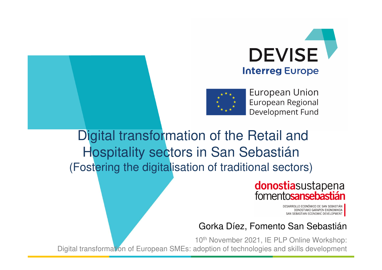



**European Union** European Regional Development Fund

Digital transformation of the Retail and Hospitality sectors in San Sebastián(Fostering the digitalisation of traditional sectors)

## donostiasustapena fomentosansebastián

DESARROLLO ECONÓMICO DE SAN SEBASTIÁN DONOSTIAKO GARAPEN EKONOMIKOA SAN SEBASTIAN ECONOMIC DEVELOPMENT

### Gorka Díez, Fomento San Sebastián

10<sup>th</sup> November 2021, IE PLP Online Workshop: Digital transformation of European SMEs: adoption of technologies and skills development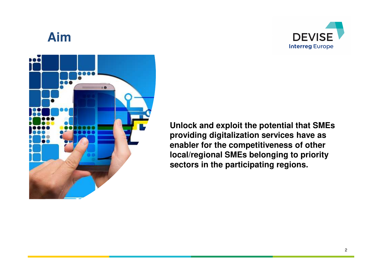

## **Aim**



**Unlock and exploit the potential that SMEs providing digitalization services have as enabler for the competitiveness of other local/regional SMEs belonging to priority sectors in the participating regions.**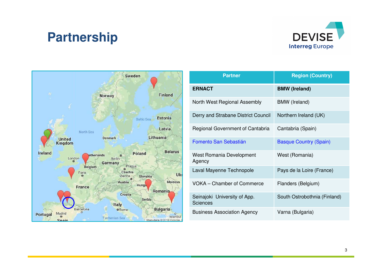## **Partnership**





| <b>Partner</b>                                  | <b>Region (Country)</b>       |  |
|-------------------------------------------------|-------------------------------|--|
| <b>ERNACT</b>                                   | <b>BMW (Ireland)</b>          |  |
| North West Regional Assembly                    | <b>BMW</b> (Ireland)          |  |
| Derry and Strabane District Council             | Northern Ireland (UK)         |  |
| Regional Government of Cantabria                | Cantabria (Spain)             |  |
| Fomento San Sebastián                           | <b>Basque Country (Spain)</b> |  |
| West Romania Development<br>Agency              | West (Romania)                |  |
| Laval Mayenne Technopole                        | Pays de la Loire (France)     |  |
| <b>VOKA</b> - Chamber of Commerce               | Flanders (Belgium)            |  |
| Seinajoki University of App.<br><b>Sciences</b> | South Ostrobothnia (Finland)  |  |
| <b>Business Association Agency</b>              | Varna (Bulgaria)              |  |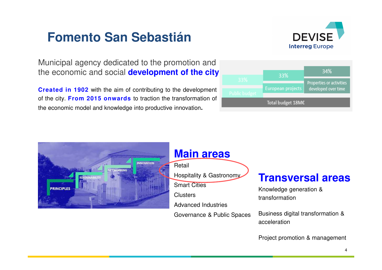## **Fomento San Sebastián**



Municipal agency dedicated to the promotion and the economic and social **development of the city**

**Created in 1902** with the aim of contributing to the development of the city. **From 2015 onwards** to traction the transformation of the economic model and knowledge into productive innovation**.**

|                   |  | 33%               | 34%                      |
|-------------------|--|-------------------|--------------------------|
| 33%               |  |                   | Properties or activities |
|                   |  | European projects | developed over time      |
| Public budget     |  |                   |                          |
| Total budget 18M€ |  |                   |                          |



Project promotion & management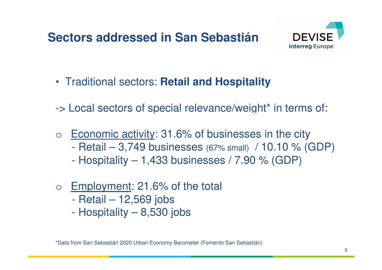## **Sectors addressed in San Sebastián**



- Traditional sectors: **Retail and Hospitality**
- -> Local sectors of special relevance/weight\* in terms of:
- o Economic activity: 31.6% of businesses in the city
	- $\mathcal{L}_{\mathcal{A}}$ Retail – 3,749 businesses (67% small) / 10.10 % (GDP)
	- $\mathcal{L}_{\mathcal{A}}$ Hospitality – 1,433 businesses / 7.90 % (GDP)
- o Employment: 21.6% of the total
	- $\mathcal{L}_{\mathcal{A}}$ Retail – 12,569 jobs
	- $\mathcal{L}_{\mathcal{A}}$ Hospitality – 8,530 jobs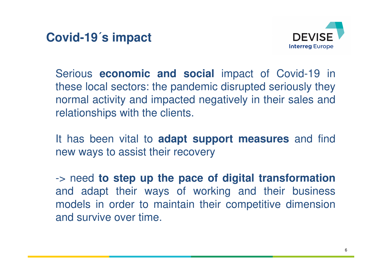**Covid-19´s impact**



Serious **economic and social** impact of Covid-19 in these local sectors: the pandemic disrupted seriously they normal activity and impacted negatively in their sales andrelationships with the clients.

It has been vital to **adapt support measures** and find new ways to assist their recovery

-> need **to step up the pace of digital transformation** and adapt their ways of working and their business models in order to maintain their competitive dimensionand survive over time.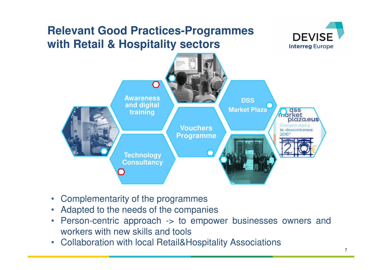## **Relevant Good Practices-Programmes with Retail & Hospitality sectors**





- •Complementarity of the programmes
- Adapted to the needs of the companies •
- Person-centric approach -> to empower businesses owners and•workers with new skills and tools
- Collaboration with local Retail&Hospitality Associations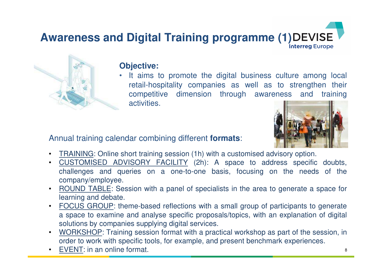# **Awareness and Digital Training programme (1) DEVISE**



### **Objective:**

• It aims to promote the digital business culture among local retail-hospitality companies as well as to strengthen their competitive dimension through awareness and trainingactivities.

Annual training calendar combining different **formats**:



- •TRAINING: Online short training session (1h) with <sup>a</sup> customised advisory option.
- • CUSTOMISED ADVISORY FACILITY (2h): <sup>A</sup> space to address specific doubts, challenges and queries on <sup>a</sup> one-to-one basis, focusing on the needs of thecompany/employee.
- • ROUND TABLE: Session with <sup>a</sup> panel of specialists in the area to generate <sup>a</sup> space for learning and debate.
- • FOCUS GROUP: theme-based reflections with <sup>a</sup> small group of participants to generate <sup>a</sup> space to examine and analyse specific proposals/topics, with an explanation of digital solutions by companies supplying digital services.
- • WORKSHOP: Training session format with <sup>a</sup> practical workshop as part of the session, inorder to work with specific tools, for example, and present benchmark experiences.
- •EVENT: in an online format.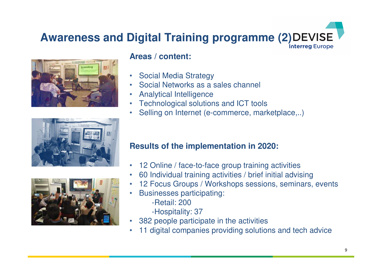## **Awareness and Digital Training programme (2) DEVISE**







### **Areas / content:**

- $\bullet$ Social Media Strategy
- Social Networks as <sup>a</sup> sales channel •
- •Analytical Intelligence
- Technological solutions and ICT tools•
- Selling on Internet (e-commerce, marketplace,..) •

### **Results of the implementation in 2020:**

- $\bullet$ 12 Online / face-to-face group training activities
- 60 Individual training activities / brief initial advising $\bullet$
- 12 Focus Groups / Workshops sessions, seminars, events•
- • Businesses participating:
	- -Retail: 200
	- -Hospitality: 37
- 382 people participate in the activities•
- 11 digital companies providing solutions and tech advice•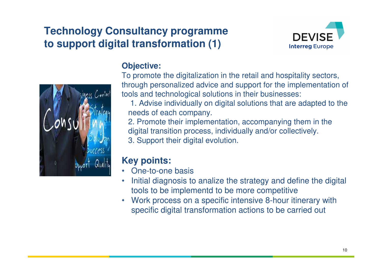## **Technology Consultancy programmeto support digital transformation (1)**





### **Objective:**

To promote the digitalization in the retail and hospitality sectors, through personalized advice and support for the implementation of tools and technological solutions in their businesses:

1. Advise individually on digital solutions that are adapted to the needs of each company.

 2. Promote their implementation, accompanying them in the digital transition process, individually and/or collectively.3. Support their digital evolution.

### **Key points:**

- One-to-one basis•
- Initial diagnosis to analize the strategy and define the digital •tools to be implementd to be more competitive
- Work process on a specific intensive 8-hour itinerary with •specific digital transformation actions to be carried out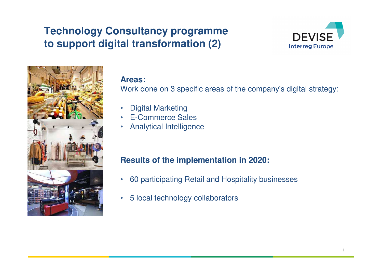## **Technology Consultancy programmeto support digital transformation (2)**





#### **Areas:**

Work done on 3 specific areas of the company's digital strategy:

- •Digital Marketing
- E-Commerce Sales•
- Analytical Intelligence•

### **Results of the implementation in 2020:**

- $\bullet$ 60 participating Retail and Hospitality businesses
- $\bullet$ 5 local technology collaborators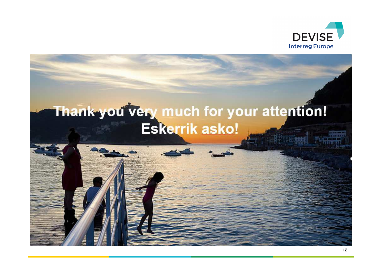